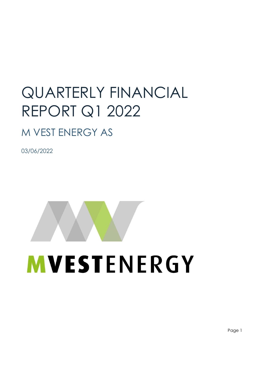# QUARTERLY FINANCIAL REPORT Q1 2022

# M VEST ENERGY AS

03/06/2022



e de la provincia de la provincia de la provincia de la provincia de la provincia de la provincia de la provincia de la provincia de la provincia de la provincia de la provincia de la provincia de la provincia de la provin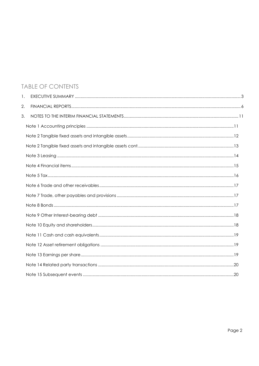# TABLE OF CONTENTS

| 1. |  |
|----|--|
| 2. |  |
| 3. |  |
|    |  |
|    |  |
|    |  |
|    |  |
|    |  |
|    |  |
|    |  |
|    |  |
|    |  |
|    |  |
|    |  |
|    |  |
|    |  |
|    |  |
|    |  |
|    |  |
|    |  |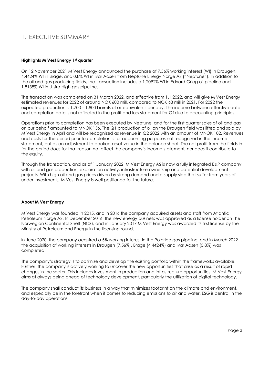# 1. EXECUTIVE SUMMARY

#### Highlights M Vest Energy 1st quarter

On 12 November 2021 M Vest Energy announced the purchase of 7.56% working interest (WI) in Draugen, 4.4424% WI in Brage, and 0.8% WI in Ivar Aasen from Neptune Energy Norge AS ("Neptune"). In addition to the oil and gas producing fields, the transaction includes a 1.2092% WI in Edvard Grieg oil pipeline and 1.8138% WI in Utsira High gas pipeline.

The transaction was completed on 31 March 2022, and effective from 1.1.2022, and will give M Vest Energy estimated revenues for 2022 of around NOK 600 mill, compared to NOK 63 mill in 2021. For 2022 the expected production is 1,700 – 1,800 barrels of oil equivalents per day. The income between effective date and completion date is not reflected in the profit and loss statement for Q1due to accounting principles.

Operations prior to completion has been executed by Neptune, and for the first quarter sales of oil and gas on our behalf amounted to MNOK 156. The Q1 production of oil on the Draugen field was lifted and sold by M Vest Energy in April and will be recognized as revenue in Q2 2022 with an amount of MNOK 102. Revenues and costs for the period prior to completion is for accounting purposes not recognized in the income statement, but as an adjustment to booked asset value in the balance sheet. The net profit from the fields in for the period does for that reason not affect the company's income statement, nor does it contribute to the equity.

Through the transaction, and as of 1 January 2022, M Vest Energy AS is now a fully integrated E&P company with oil and gas production, exploration activity, infrastructure ownership and potential development projects. With high oil and gas prices driven by strong demand and a supply side that suffer from years of under investments, M Vest Energy is well positioned for the future.

#### About M Vest Energy

M Vest Energy was founded in 2015, and in 2016 the company acquired assets and staff from Atlantic Petroleum Norge AS. In December 2016, the new energy business was approved as a license holder on The Norwegian Continental Shelf (NCS), and in January 2017 M Vest Energy was awarded its first license by the Ministry of Petroleum and Energy in the licensing round.

In June 2020, the company acquired a 5% working interest in the Polarled gas pipeline, and in March 2022 the acquisition of working interests in Draugen (7,56%), Brage (4,4424%) and Ivar Aasen (0,8%) was completed.

The company's strategy is to optimize and develop the existing portfolio within the frameworks available. Further, the company is actively working to uncover the new opportunities that arise as a result of rapid changes in the sector. This includes investment in production and infrastructure opportunities. M Vest Energy aims at always being ahead of technology development, particularly the utilization of digital technology.

The company shall conduct its business in a way that minimizes footprint on the climate and environment, and especially be in the forefront when it comes to reducing emissions to air and water. ESG is central in the day-to-day operations.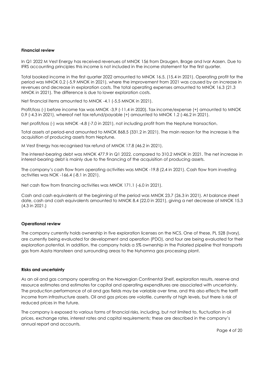#### Financial review

In Q1 2022 M Vest Energy has received revenues of MNOK 156 from Draugen, Brage and Ivar Aasen. Due to IFRS accounting principles this income is not included in the income statement for the first quarter.

Total booked income in the first quarter 2022 amounted to MNOK 16.5, (15.4 in 2021). Operating profit for the period was MNOK 0.2 (-5.9 MNOK in 2021), where the improvement from 2021 was caused by an increase in revenues and decrease in exploration costs. The total operating expenses amounted to MNOK 16.3 (21.3 MNOK in 2021). The difference is due to lower exploration costs.

Net financial items amounted to MNOK -4.1 (-5.5 MNOK in 2021).

Profit/loss (-) before income tax was MNOK -3,9 (-11,4 in 2020). Tax income/expense (+) amounted to MNOK 0.9 (-4.3 in 2021), whereof net tax refund/payable (+) amounted to MNOK 1.2 (-46.2 in 2021).

Net profit/loss (-) was MNOK -4.8 (-7.0 in 2021), not including profit from the Neptune transaction.

Total assets at period-end amounted to MNOK 868.5 (331.2 in 2021). The main reason for the increase is the acquisition of producing assets from Neptune.

M Vest Energy has recognised tax refund of MNOK 17.8 (46.2 in 2021).

The interest-bearing debt was MNOK 477.9 in Q1 2022, compared to 310.2 MNOK in 2021. The net increase in interest-bearing debt is mainly due to the financing of the acquisition of producing assets.

The company's cash flow from operating activities was MNOK -19.8 (2.4 in 2021). Cash flow from investing activities was NOK -166.4 (-8.1 in 2021).

Net cash flow from financing activities was MNOK 171.1 (-6.0 in 2021).

Cash and cash equivalents at the beginning of the period was MNOK 23.7 (26.3 in 2021). At balance sheet date, cash and cash equivalents amounted to MNOK 8.4 (22.0 in 2021), giving a net decrease of MNOK 15.3 (4.3 in 2021.)

#### Operational review

The company currently holds ownership in five exploration licenses on the NCS. One of these, PL 528 (Ivory), are currently being evaluated for development and operation (PDO), and four are being evaluated for their exploration potential. In addition, the company holds a 5% ownership in the Polarled pipeline that transports gas from Aasta Hansteen and surrounding areas to the Nyhamna gas processing plant.

#### Risks and uncertainty

As an oil and gas company operating on the Norwegian Continental Shelf, exploration results, reserve and resource estimates and estimates for capital and operating expenditures are associated with uncertainty. The production performance of oil and gas fields may be variable over time, and this also effects the tariff income from infrastructure assets. Oil and gas prices are volatile, currently at high levels, but there is risk of reduced prices in the future.

The company is exposed to various forms of financial risks, including, but not limited to, fluctuation in oil prices, exchange rates, interest rates and capital requirements; these are described in the company's annual report and accounts.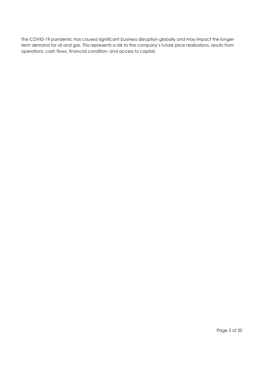The COVID-19 pandemic has caused significant business disruption globally and may impact the longerterm demand for oil and gas. This represents a risk to the company's future price realisations, results from operations, cash flows, financial condition, and access to capital.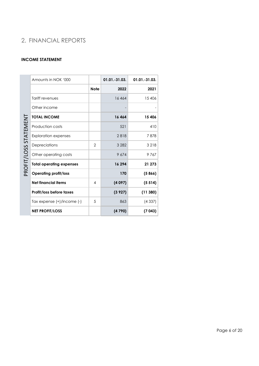# 2. FINANCIAL REPORTS

#### INCOME STATEMENT

|                       | Amounts in NOK '000             |                | $01.01.-31.03.$ | 01.01.-31.03. |
|-----------------------|---------------------------------|----------------|-----------------|---------------|
|                       |                                 | <b>Note</b>    | 2022            | 2021          |
|                       | Tariff revenues                 |                | 16464           | 15406         |
|                       | Other income                    |                |                 |               |
|                       | <b>TOTAL INCOME</b>             |                | 16464           | 15 406        |
| PROFIT/LOSS STATEMENT | Production costs                |                | 521             | 410           |
|                       | <b>Exploration expenses</b>     |                | 2818            | 7878          |
|                       | Depreciations                   | $\overline{2}$ | 3 2 8 2         | 3 2 1 8       |
|                       | Other operating costs           |                | 9674            | 9767          |
|                       | <b>Total operating expenses</b> |                | 16 294          | 21 273        |
|                       | <b>Operating profit/loss</b>    |                | 170             | (5866)        |
|                       | <b>Net financial items</b>      | 4              | (4097)          | (5514)        |
|                       | Profit/loss before taxes        |                | (3927)          | (11380)       |
|                       | Tax expense (+)/income (-)      | 5              | 863             | (4337)        |
|                       | <b>NET PROFIT/LOSS</b>          |                | (4790)          | (7043)        |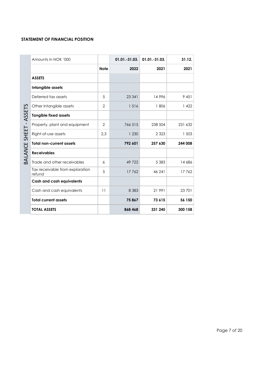#### STATEMENT OF FINANCIAL POSITION

|                 | Amounts in NOK '000                       |                | $01.01.-31.03.$ | 01.01.-31.03. | 31.12.  |
|-----------------|-------------------------------------------|----------------|-----------------|---------------|---------|
|                 |                                           | <b>Note</b>    | 2022            | 2021          | 2021    |
|                 | <b>ASSETS</b>                             |                |                 |               |         |
|                 | Intangible assets                         |                |                 |               |         |
|                 | Deferred tax assets                       | 5              | 23 341          | 14996         | 9 4 5 1 |
|                 | Other intangible assets                   | $\overline{2}$ | 1516            | 1806          | 1 4 2 2 |
| ASSETS          | <b>Tangible fixed assets</b>              |                |                 |               |         |
|                 | Property, plant and equipment             | 2              | 766 515         | 238 504       | 231 632 |
|                 | Right-of-use assets                       | 2,3            | 1 2 3 0         | 2 3 2 3       | 1 503   |
| BALANCE SHEET - | <b>Total non-current assets</b>           |                | 792 601         | 257 630       | 244 008 |
|                 | <b>Receivables</b>                        |                |                 |               |         |
|                 | Trade and other receivables               | 6              | 49 7 22         | 5 3 8 3       | 14 686  |
|                 | Tax receivable from exploration<br>refund | 5              | 17762           | 46 241        | 17762   |
|                 | <b>Cash and cash equivalents</b>          |                |                 |               |         |
|                 | Cash and cash equivalents                 | 11             | 8 3 8 3         | 21 991        | 23 701  |
|                 | <b>Total current assets</b>               |                | 75867           | 73 615        | 56 150  |
|                 | <b>TOTAL ASSETS</b>                       |                | 868 468         | 331 245       | 300 158 |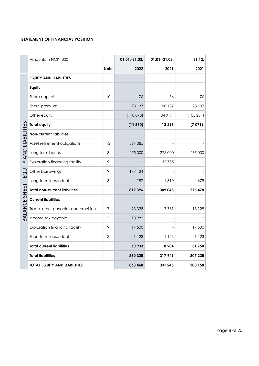#### STATEMENT OF FINANCIAL POSITION

| Amounts in NOK '000                                                      |             | 01.01.-31.03. | 01.01.-31.03. | 31.12.    |
|--------------------------------------------------------------------------|-------------|---------------|---------------|-----------|
|                                                                          | <b>Note</b> | 2022          | 2021          | 2021      |
| <b>EQUITY AND LIABILITIES</b>                                            |             |               |               |           |
| Equity                                                                   |             |               |               |           |
| Share capital                                                            | 10          | 76            | 76            | 76        |
| Share premium                                                            |             | 98 137        | 98 137        | 98 137    |
| Other equity                                                             |             | (110073)      | (84917)       | (105 284) |
| <b>Total equity</b>                                                      |             | (11860)       | 13296         | (7071)    |
| BALANCE SHEET - EQUITY AND LIABILITIES<br><b>Non-current liabilities</b> |             |               |               |           |
| Asset retirement obligations                                             | 12          | 367085        |               |           |
| Long term bonds                                                          | 8           | 275 000       | 275 000       | 275 000   |
| <b>Exploration financing facility</b>                                    | 9           |               | 32735         |           |
| Other borrowings                                                         | 9           | 177 124       |               |           |
| Long-term lease debt                                                     | 3           | 187           | 1310          | 478       |
| <b>Total non-current liabilities</b>                                     |             | 819396        | 309 045       | 275 478   |
| <b>Current liabilities</b>                                               |             |               |               |           |
| Trade, other payables and provisions                                     | 7           | 23 3 28       | 7781          | 13 1 28   |
| Income tax payable                                                       | 5           | 18982         |               |           |
| <b>Exploration financing facility</b>                                    | 9           | 17 500        |               | 17 500    |
| Short-term lease debt                                                    | 3           | 1 1 2 3       | 1 1 2 3       | 1 1 2 3   |
| <b>Total current liabilities</b>                                         |             | 60 933        | 8 9 0 4       | 31 750    |
| <b>Total liabilities</b>                                                 |             | 880 328       | 317949        | 307 228   |
| <b>TOTAL EQUITY AND LIABILITIES</b>                                      |             | 868 468       | 331 245       | 300 158   |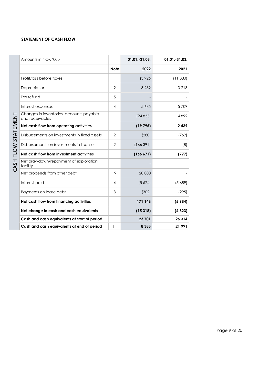#### STATEMENT OF CASH FLOW

| Amounts in NOK '000                                         |               | $01.01.-31.03.$ | $01.01.-31.03.$ |
|-------------------------------------------------------------|---------------|-----------------|-----------------|
|                                                             | <b>Note</b>   | 2022            | 2021            |
| Profit/loss before taxes                                    |               | (3926)          | (11380)         |
| Depreciation                                                | 2             | 3 2 8 2         | 3 2 1 8         |
| Tax refund                                                  | 5             |                 |                 |
| Interest expenses                                           | 4             | 5 6 8 5         | 5709            |
| Changes in inventories, accounts payable<br>and receivables |               | (24835)         | 4892            |
| Net cash flow from operating activities                     |               | (19795)         | 2439            |
| Disbursements on investments in fixed assets                | $\mathcal{P}$ | (280)           | (769)           |
| Disbursements on investments in licenses                    | 2             | (166391)        | (8)             |
| Net cash flow from investment activities                    |               | (166 671)       | (777)           |
| Net drawdown/repayment of exploration<br>facility           |               |                 |                 |
| Net proceeds from other debt                                | 9             | 120 000         |                 |
| Interest paid                                               | 4             | (5674)          | (5689)          |
| Payments on lease debt                                      | 3             | (302)           | (295)           |
| Net cash flow from financing activities                     |               | 171 148         | (5984)          |
| Net change in cash and cash equivalents                     |               | (15318)         | (4323)          |
| Cash and cash equivalents at start of period                |               | 23 701          | 26 3 14         |
| Cash and cash equivalents at end of period                  | 11            | 8 3 8 3         | 21991           |

Page 9 of 20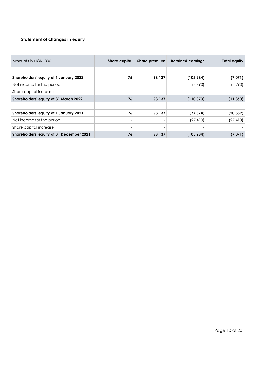#### Statement of changes in equity

| Amounts in NOK '000                      | Share capital            | Share premium | <b>Retained earnings</b> | <b>Total equity</b> |
|------------------------------------------|--------------------------|---------------|--------------------------|---------------------|
|                                          |                          |               |                          |                     |
| Shareholders' equity at 1 January 2022   | 76                       | 98 137        | (105 284)                | (7071)              |
| Net income for the period                | $\overline{\phantom{a}}$ |               | (4790)                   | (4790)              |
| Share capital increase                   | $\overline{\phantom{a}}$ |               |                          |                     |
| Shareholders' equity at 31 March 2022    | 76                       | 98 137        | (110073)                 | (11860)             |
|                                          |                          |               |                          |                     |
| Shareholders' equity at 1 January 2021   | 76                       | 98 137        | (77874)                  | (20339)             |
| Net income for the period                | $\overline{\phantom{a}}$ |               | (27 410)                 | (27 410)            |
| Share capital increase                   | $\overline{\phantom{a}}$ |               |                          |                     |
| Shareholders' equity at 31 December 2021 | 76                       | 98 137        | (105284)                 | (7071)              |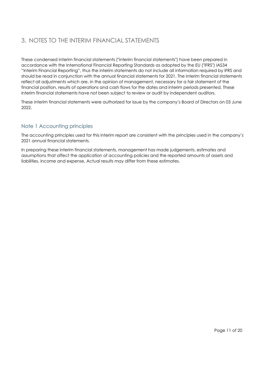# 3. NOTES TO THE INTERIM FINANCIAL STATEMENTS

These condensed interim financial statements ("interim financial statements") have been prepared in accordance with the International Financial Reporting Standards as adopted by the EU ("IFRS") IAS34 "Interim Financial Reporting", thus the interim statements do not include all information required by IFRS and should be read in conjunction with the annual financial statements for 2021. The interim financial statements reflect all adjustments which are, in the opinion of management, necessary for a fair statement of the financial position, results of operations and cash flows for the dates and interim periods presented. These interim financial statements have not been subject to review or audit by independent auditors.

These interim financial statements were authorized for issue by the company's Board of Directors on 03 June 2022.

# Note 1 Accounting principles

The accounting principles used for this interim report are consistent with the principles used in the company's 2021 annual financial statements.

In preparing these interim financial statements, management has made judgements, estimates and assumptions that affect the application of accounting policies and the reported amounts of assets and liabilities, income and expense. Actual results may differ from these estimates.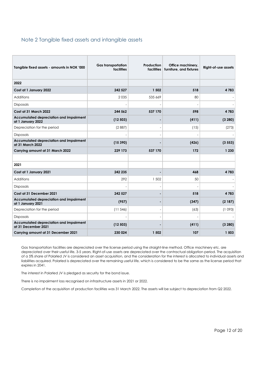#### Note 2 Tangible fixed assets and intangible assets

| Tangible fixed assets - amounts in NOK '000                    | <b>Gas transportation</b><br>facilities | <b>Production</b><br><b>facilities</b> | Office machinery,<br>furniture, and fixtures | Right-of-use assets |
|----------------------------------------------------------------|-----------------------------------------|----------------------------------------|----------------------------------------------|---------------------|
| 2022                                                           |                                         |                                        |                                              |                     |
| Cost at 1 January 2022                                         | 242 527                                 | 1 502                                  | 518                                          | 4783                |
| <b>Additions</b>                                               | 2035                                    | 535 669                                | 80                                           |                     |
| <b>Disposals</b>                                               |                                         |                                        |                                              |                     |
| Cost at 31 March 2022                                          | 244 562                                 | 537 170                                | 598                                          | 4783                |
| Accumulated depreciation and impairment<br>at 1 January 2022   | (12503)                                 |                                        | (411)                                        | (3 280)             |
| Depreciation for the period                                    | (2887)                                  |                                        | (15)                                         | (273)               |
| Disposals                                                      |                                         |                                        |                                              |                     |
| Accumulated depreciation and impairment<br>at 31 March 2022    | (15390)                                 |                                        | (426)                                        | (3553)              |
| Carrying amount at 31 March 2022                               | 229 173                                 | 537 170                                | 172                                          | 1 2 3 0             |
|                                                                |                                         |                                        |                                              |                     |
| 2021                                                           |                                         |                                        |                                              |                     |
| Cost at 1 January 2021                                         | 242 235                                 |                                        | 468                                          | 4783                |
| <b>Additions</b>                                               | 292                                     | 1 502                                  | 50                                           |                     |
| <b>Disposals</b>                                               |                                         |                                        |                                              |                     |
| Cost at 31 December 2021                                       | 242 527                                 |                                        | 518                                          | 4783                |
| Accumulated depreciation and impairment<br>at 1 January 2021   | (957)                                   |                                        | (347)                                        | (2187)              |
| Depreciation for the period                                    | (11546)                                 |                                        | (63)                                         | (1093)              |
| Disposals                                                      |                                         |                                        |                                              |                     |
| Accumulated depreciation and impairment<br>at 31 December 2021 | (12503)                                 |                                        | (411)                                        | (3 280)             |
| Carrying amount at 31 December 2021                            | 230 024                                 | 1 502                                  | 107                                          | 1 503               |

Gas transportation facilities are depreciated over the license period using the straight-line method. Office machinery etc. are depreciated over their useful life, 3-5 years. Right-of-use assets are depreciated over the contractual obligation period. The acquisition of a 5% share of Polarled JV is considered an asset acquisition, and the consideration for the interest is allocated to individual assets and liabilities acquired. Polarled is depreciated over the remaining useful life, which is considered to be the same as the license period that expires in 2041.

The interest in Polarled JV is pledged as security for the bond issue.

There is no impairment loss recognised on infrastructure assets in 2021 or 2022.

Completion of the acquisition of production facilities was 31 March 2022. The assets will be subject to depreciation from Q2 2022.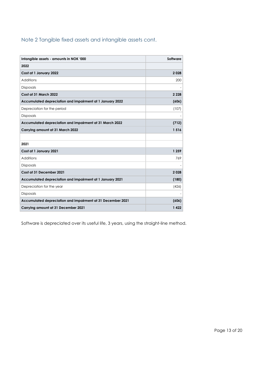# Note 2 Tangible fixed assets and intangible assets cont.

| Intangible assets - amounts in NOK '000                     | Software |
|-------------------------------------------------------------|----------|
| 2022                                                        |          |
| Cost at 1 January 2022                                      | 2028     |
| Additions                                                   | 200      |
| <b>Disposals</b>                                            |          |
| Cost at 31 March 2022                                       | 2 2 2 8  |
| Accumulated depreciation and impairment at 1 January 2022   | (606)    |
| Depreciation for the period                                 | (107)    |
| Disposals                                                   |          |
| Accumulated depreciation and impairment at 31 March 2022    | (712)    |
| Carrying amount at 31 March 2022                            | 1516     |
|                                                             |          |
| 2021                                                        |          |
| Cost at 1 January 2021                                      | 1 259    |
| Additions                                                   | 769      |
| <b>Disposals</b>                                            |          |
| Cost at 31 December 2021                                    | 2028     |
| Accumulated depreciation and impairment at 1 January 2021   | (180)    |
| Depreciation for the year                                   | (426)    |
| <b>Disposals</b>                                            |          |
| Accumulated depreciation and impairment at 31 December 2021 | (606)    |
| Carrying amount at 31 December 2021                         | 1422     |

Software is depreciated over its useful life, 3 years, using the straight-line method.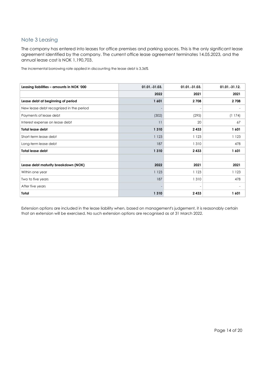# Note 3 Leasing

The company has entered into leases for office premises and parking spaces. This is the only significant lease agreement identified by the company. The current office lease agreement terminates 14.05.2023, and the annual lease cost is NOK 1,190,703.

The incremental borrowing rate applied in discounting the lease debt is 3,36%

| Leasing liabilities - amounts in NOK '000 | 01.01.-31.03. | 01.01.-31.03. | 01.01.-31.12. |
|-------------------------------------------|---------------|---------------|---------------|
|                                           | 2022          | 2021          | 2021          |
| Lease debt at beginning of period         | 1601          | 2708          | 2 7 0 8       |
| New lease debt recognized in the period   |               |               |               |
| Payments of lease debt                    | (302)         | (295)         | (1174)        |
| Interest expense on lease debt            | 11            | 20            | 67            |
| <b>Total lease debt</b>                   | 1 3 1 0       | 2433          | 1601          |
| Short-term lease debt                     | 1 1 2 3       | 1 1 2 3       | 1 1 2 3       |
| Long-term lease debt                      | 187           | 1310          | 478           |
| <b>Total lease debt</b>                   | 1 3 1 0       | 2433          | 1601          |
|                                           |               |               |               |
| Lease debt maturity breakdown (NOK)       | 2022          | 2021          | 2021          |
| Within one year                           | 1123          | 1 1 2 3       | 1 1 2 3       |
| Two to five years                         | 187           | 1310          | 478           |
| After five years                          |               |               |               |
| Total                                     | 1 3 1 0       | 2433          | 1601          |

Extension options are included in the lease liability when, based on management's judgement, it is reasonably certain that an extension will be exercised. No such extension options are recognised as at 31 March 2022.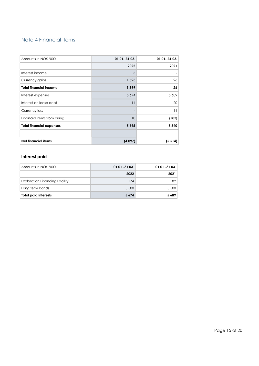# Note 4 Financial items

| Amounts in NOK '000             | 01.01.-31.03. | 01.01.-31.03.   |
|---------------------------------|---------------|-----------------|
|                                 | 2022          | 2021            |
| Interest income                 | 5             |                 |
| Currency gains                  | 1593          | 26              |
| <b>Total financial income</b>   | 1599          | 26 <sup>2</sup> |
| Interest expenses               | 5 6 7 4       | 5 6 8 9         |
| Interest on lease debt          | 11            | 20              |
| Currency loss                   |               | 14              |
| Financial items from billing    | 10            | (183)           |
| <b>Total financial expenses</b> | 5695          | 5 5 4 0         |
|                                 |               |                 |
| <b>Net financial items</b>      | (4097)        | (5514)          |

#### Interest paid

| Amounts in NOK '000                   | $01.01.-31.03.$ | $01.01.-31.03.$ |
|---------------------------------------|-----------------|-----------------|
|                                       | 2022            | 2021            |
| <b>Exploration Financing Facility</b> | 174             | 189             |
| Long term bonds                       | 5 5 0 0         | 5 500           |
| <b>Total paid interests</b>           | 5 6 7 4         | 5689            |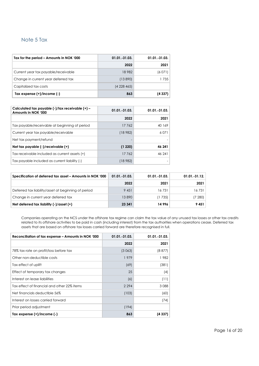#### Note 5 Tax

| Tax for the period – Amounts in NOK '000 | $01.01.-31.03.$ | 01.01.-31.03. |
|------------------------------------------|-----------------|---------------|
|                                          | 2022            | 2021          |
| Current year tax payable/receivable      | 18 982          | (6071)        |
| Change in current year deferred tax      | (13890)         | 735           |
| Capitalized tax costs                    | (4228465)       |               |
| Tax expense $(+)/$ income $(-)$          | 863             | (4337)        |

| Calculated tax payable (-)/tax receivable (+) -<br>Amounts in NOK '000 | $01.01 - 31.03$ . | $01.01.-31.03.$ |
|------------------------------------------------------------------------|-------------------|-----------------|
|                                                                        | 2022              | 2021            |
| Tax payable/receivable at beginning of period                          | 17762             | 40 169          |
| Current year tax payable/receivable                                    | (18 982)          | 6.071           |
| Net tax payment/refund                                                 |                   |                 |
| Net tax payable (-)/receivable (+)                                     | (1220)            | 46 241          |
| Tax receivable included as current assets (+)                          | 17762             | 46 241          |
| Tax payable included as current liability (-)                          | (18 982)          |                 |

| Specification of deferred tax asset - Amounts in NOK '000 | $01.01 - 31.03$ . | $01.01.-31.03.$ | $01.01.-31.12.$ |
|-----------------------------------------------------------|-------------------|-----------------|-----------------|
|                                                           | 2022              | 2021            | 2021            |
| Deferred tax liability/asset at beginning of period       | 9 4 5 1           | 16731           | 16731           |
| Change in current year deferred tax                       | 13890             | (1 735)         | (7 280)         |
| Net deferred tax liability $(-)/$ asset $(+)$             | 23 341            | 14996           | 9451            |

Companies operating on the NCS under the offshore tax regime can claim the tax value of any unused tax losses or other tax credits related to its offshore activities to be paid in cash (including interest) from the tax authorities when operations cease. Deferred tax assets that are based on offshore tax losses carried forward are therefore recognised in full.

| Reconciliation of tax expense – Amounts in NOK '000 | 01.01.-31.03. | 01.01.-31.03. |
|-----------------------------------------------------|---------------|---------------|
|                                                     | 2022          | 2021          |
| 78% tax rate on profit/loss before tax              | (3 063)       | (8 877)       |
| Other non-deductible costs                          | 1979          | 1982          |
| Tax effect of uplift                                | (69)          | (381)         |
| Effect of temporary tax changes                     | 25            | (4)           |
| Interest on lease liabilities                       | (6)           | (11)          |
| Tax effect of financial and other 22% items         | 2 2 9 4       | 3088          |
| Net financials deductible 56%                       | (103)         | (60)          |
| Interest on losses carried forward                  |               | (74)          |
| Prior period adjustment                             | (194)         |               |
| Tax expense $(+)/$ income $(-)$                     | 863           | (4 337)       |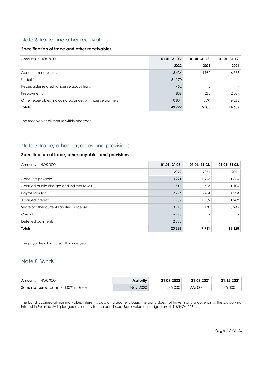#### Note 6 Trade and other receivables

#### Specification of trade and other receivables

| Amounts in NOK '000                                         | $01.01.-31.03.$ | $01.01.-31.03.$ | $01.01.-31.12.$ |
|-------------------------------------------------------------|-----------------|-----------------|-----------------|
|                                                             | 2022            | 2021            | 2021            |
| Accounts receivables                                        | 5 4 3 4         | 4980            | 6 3 3 7         |
| <b>Underlift</b>                                            | 31 170          | -               |                 |
| Receivables related to license acquisitions                 | 452             | ↷               |                 |
| Prepayments                                                 | 1836            | 1 260           | 2087            |
| Other receivables, including balances with license partners | 10831           | (859)           | 6263            |
| <b>Totals</b>                                               | 49 722          | 5 3 8 3         | 14 686          |

The receivables all mature within one year.

# Note 7 Trade, other payables and provisions

#### Specification of trade, other payables and provisions

| Amounts in NOK '000                            | 01.01.-31.03. | 01.01.-31.03.            | $01.01.-31.03.$ |
|------------------------------------------------|---------------|--------------------------|-----------------|
|                                                | 2022          | 2021                     | 2021            |
| Accounts payable                               | 3991          | 1 2 9 5                  | l 865           |
| Accrued public charges and indirect taxes      | 546           | 623                      | 1 1 0 5         |
| Payroll liabilities                            | 2976          | 3 4 0 4                  | 4 2 2 3         |
| Accrued interest                               | 1989          | 989                      | 989             |
| Share of other current liabilities in licenses | 3 9 4 5       | 470                      | 3945            |
| Overlift                                       | 6998          | $\overline{\phantom{a}}$ |                 |
| Deferred payments                              | 2883          |                          |                 |
| <b>Totals</b>                                  | 23 3 28       | 7781                     | 13 1 28         |

The payables all mature within one year.

# Note 8 Bonds

| Amounts in NOK '000                  | Maturity | 31.03.2022 | 31.03.2021 | 31.12.2021 |
|--------------------------------------|----------|------------|------------|------------|
| Senior secured bond 8.000% (20/30) § | Nov 2030 | 275 000    | 275 000    | 275 000    |

The bond is carried at nominal value. Interest is paid on a quarterly basis. The bond does not have financial covenants. The 5% working interest in Polarled JV is pledged as security for the bond issue. Book value of pledged assets is MNOK 227.1.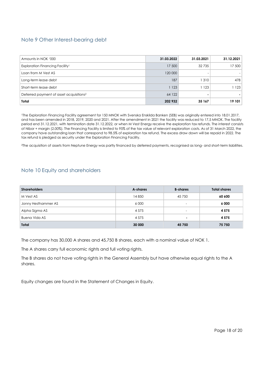# Note 9 Other Interest-bearing debt

| Amounts in NOK '000                                 | 31.03.2022 | 31.03.2021               | 31.12.2021 |
|-----------------------------------------------------|------------|--------------------------|------------|
| Exploration Financing Facility <sup>1</sup>         | 17 500     | 32 735                   | 17 500     |
| Loan from M Vest AS                                 | 120 000    | $\overline{\phantom{0}}$ |            |
| Long-term lease debt                                | 187        | 1310                     | 478        |
| Short-term lease debt                               | 1 1 2 3    | 1 1 2 3                  | l 123      |
| Deferred payment of asset acquisitions <sup>2</sup> | 64 122     |                          |            |
| Total                                               | 202 932    | 35 167                   | 19 101     |

<sup>1</sup>The Exploration Financing Facility agreement for 150 MNOK with Svenska Enskilda Banken (SEB) was originally entered into 18.01.2017, and has been amended in 2018, 2019, 2020 and 2021. After the amendment in 2021 the facility was reduced to 17,5 MNOK. The facility period end 31.12.2021, with termination date 31.12.2022, or when M Vest Energy receive the exploration tax refunds. The interest consists of Nibor + margin (2.00%). The Financing Facility is limited to 95% of the tax value of relevant exploration costs. As of 31 March 2022, the company have outstanding loan that correspond to 98.5% of exploration tax refund. The excess draw down will be repaid in 2022. The tax refund is pledged as security under the Exploration Financing Facility.

<sup>2</sup>The acquisition of assets from Neptune Energy was partly financed by deferred payments, recognised as long- and short-term liabilities.

#### Note 10 Equity and shareholders

| <b>Shareholders</b> | A-shares | <b>B-shares</b>          | <b>Total shares</b> |
|---------------------|----------|--------------------------|---------------------|
| M Vest AS           | 14 850   | 45 750                   | 60 600              |
| Jonny Hesthammer AS | 6 0 0 0  | $\overline{\phantom{a}}$ | 6 0 0 0             |
| Alpha Sigma AS      | 4 5 7 5  | $\overline{\phantom{0}}$ | 4575                |
| Buena Vida AS       | 4 5 7 5  | ۰                        | 4575                |
| <b>Total</b>        | 30 000   | 45 750                   | 75 750              |

The company has 30,000 A shares and 45,750 B shares, each with a nominal value of NOK 1.

The A shares carry full economic rights and full voting rights.

The B shares do not have voting rights in the General Assembly but have otherwise equal rights to the A shares.

Equity changes are found in the Statement of Changes in Equity.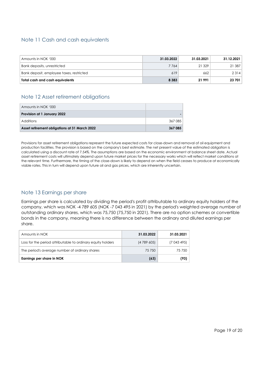# Note 11 Cash and cash equivalents

| Amounts in NOK '000                      | 31.03.2022 | 31.03.2021 | 31.12.2021 |
|------------------------------------------|------------|------------|------------|
| Bank deposits, unrestricted              | 7764       | 21 3 29    | 21 387     |
| Bank deposit, employee taxes, restricted | 619        | 662        | 2 3 1 4    |
| Total cash and cash equivalents          | 8 3 8 3    | 21991      | 23 701     |

# Note 12 Asset retirement obligations

| Amounts in NOK '000                           |         |
|-----------------------------------------------|---------|
| Provision at 1 January 2022                   |         |
| Additions                                     | 367 085 |
| Asset retirement obligations at 31 March 2022 | 367 085 |

Provisions for asset retirement obligations represent the future expected costs for close-down and removal of oil equipment and production facilities. The provision is based on the company's best estimate. The net present value of the estimated obligation is calculated using a discount rate of 7.54%. The assumptions are based on the economic environment at balance sheet date. Actual asset retirement costs will ultimately depend upon future market prices for the necessary works which will reflect market conditions at the relevant time. Furthermore, the timing of the close-down is likely to depend on when the field ceases to produce at economically viable rates. This in turn will depend upon future oil and gas prices, which are inherently uncertain.

# Note 13 Earnings per share

Earnings per share is calculated by dividing the period's profit attributable to ordinary equity holders of the company, which was NOK -4 789 605 (NOK -7 043 495 in 2021) by the period's weighted average number of outstanding ordinary shares, which was 75,750 (75,750 in 2021). There are no option schemes or convertible bonds in the company, meaning there is no difference between the ordinary and diluted earnings per share.

| Amounts in NOK                                              | 31.03.2022 | 31.03.2021  |
|-------------------------------------------------------------|------------|-------------|
| Loss for the period attributable to ordinary equity holders | (4789605)  | (7 043 495) |
| The period's average number of ordinary shares              | 75750      | 75 750      |
| Earnings per share in NOK                                   | (63)       | (93)        |